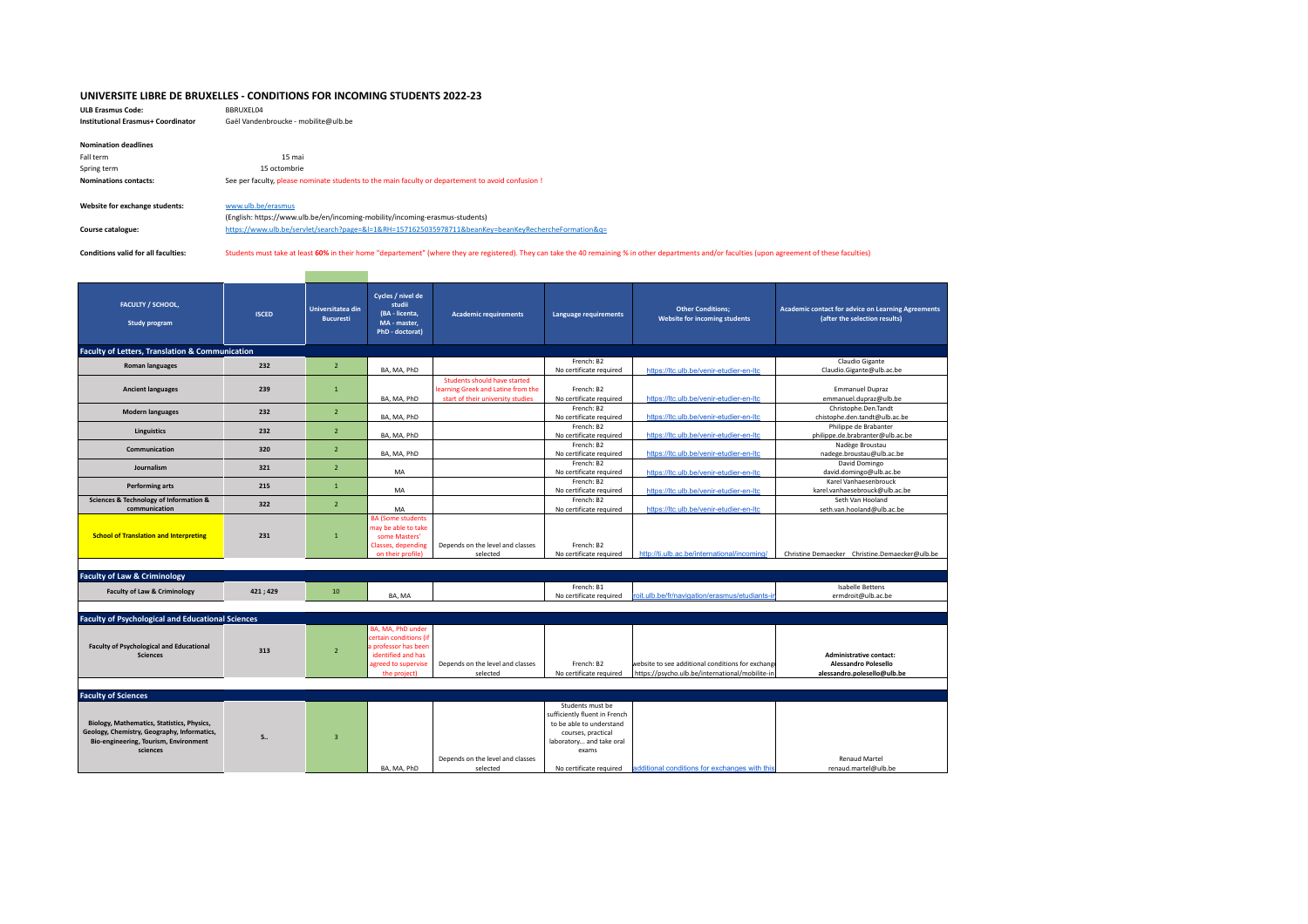## **UNIVERSITE LIBRE DE BRUXELLES - CONDITIONS FOR INCOMING STUDENTS 2022-23**

**ULB Erasmus Code:** BBRUXEL04 **Institutional Erasmus+ Coordinator** Gaël Vandenbroucke - mobilite@ulb.be

| <b>Nomination deadlines</b>    |                                                                                                      |
|--------------------------------|------------------------------------------------------------------------------------------------------|
| Fall term                      | 15 mai                                                                                               |
| Spring term                    | 15 octombrie                                                                                         |
| Nominations contacts:          | See per faculty, please nominate students to the main faculty or departement to avoid confusion !    |
|                                |                                                                                                      |
| Website for exchange students: | www.ulb.be/erasmus                                                                                   |
|                                | (English: https://www.ulb.be/en/incoming-mobility/incoming-erasmus-students)                         |
| Course catalogue:              | https://www.ulb.be/servlet/search?page=&l=1&RH=1571625035978711&beanKey=beanKeyRechercheFormation&q= |

Conditions valid for all faculties: Students must take at least 60% in their home "departement" (where they are registered). They can take the 40 remaining % in other departments and/or faculties (upon agreement of these f

| <b>FACULTY / SCHOOL,</b><br>Study program                                                                                                      | <b>ISCED</b> | Universitatea din<br><b>Bucuresti</b> | Cycles / nivel de<br>studii<br>(BA - licenta,<br>MA - master,<br>PhD - doctorat)                                                 | <b>Academic requirements</b>                                       | Language requirements                                                                                                                                               | <b>Other Conditions;</b><br>Website for incoming students                                            | <b>Academic contact for advice on Learning Agreements</b><br>(after the selection results) |
|------------------------------------------------------------------------------------------------------------------------------------------------|--------------|---------------------------------------|----------------------------------------------------------------------------------------------------------------------------------|--------------------------------------------------------------------|---------------------------------------------------------------------------------------------------------------------------------------------------------------------|------------------------------------------------------------------------------------------------------|--------------------------------------------------------------------------------------------|
| <b>Faculty of Letters, Translation &amp; Communication</b>                                                                                     |              |                                       |                                                                                                                                  |                                                                    |                                                                                                                                                                     |                                                                                                      |                                                                                            |
| <b>Roman languages</b>                                                                                                                         | 232          | $\overline{2}$                        |                                                                                                                                  |                                                                    | French: B2                                                                                                                                                          |                                                                                                      | Claudio Gigante                                                                            |
|                                                                                                                                                |              |                                       | BA, MA, PhD                                                                                                                      |                                                                    | No certificate required                                                                                                                                             | https://ltc.ulb.be/venir-etudier-en-Itc                                                              | Claudio.Gigante@ulb.ac.be                                                                  |
| <b>Ancient languages</b>                                                                                                                       | 239          | $\mathbf{1}$                          |                                                                                                                                  | Students should have started<br>learning Greek and Latine from the | French: B2                                                                                                                                                          |                                                                                                      | <b>Emmanuel Dupraz</b>                                                                     |
|                                                                                                                                                |              |                                       | BA, MA, PhD                                                                                                                      | start of their university studies                                  | No certificate required<br>French: B2                                                                                                                               | https://ltc.ulb.be/venir-etudier-en-Itc                                                              | emmanuel.dupraz@ulb.be<br>Christophe.Den.Tandt                                             |
| <b>Modern languages</b>                                                                                                                        | 232          | $\overline{2}$                        | BA, MA, PhD                                                                                                                      |                                                                    | No certificate required                                                                                                                                             | https://ltc.ulb.be/venir-etudier-en-Itc                                                              | chistophe.den.tandt@ulb.ac.be                                                              |
|                                                                                                                                                |              |                                       |                                                                                                                                  |                                                                    | French: B2                                                                                                                                                          |                                                                                                      | Philippe de Brabanter                                                                      |
| <b>Linguistics</b>                                                                                                                             | 232          | $\overline{2}$                        | BA, MA, PhD                                                                                                                      |                                                                    | No certificate required                                                                                                                                             | https://ltc.ulb.be/venir-etudier-en-ltc                                                              | philippe.de.brabranter@ulb.ac.be                                                           |
|                                                                                                                                                |              |                                       |                                                                                                                                  |                                                                    | French: B2                                                                                                                                                          |                                                                                                      | Nadège Broustau                                                                            |
| Communication                                                                                                                                  | 320          | $\overline{2}$                        | BA, MA, PhD                                                                                                                      |                                                                    | No certificate required                                                                                                                                             | https://ltc.ulb.be/venir-etudier-en-Itc                                                              | nadege.broustau@ulb.ac.be                                                                  |
| Journalism                                                                                                                                     | 321          | $\overline{2}$                        |                                                                                                                                  |                                                                    | French: B2                                                                                                                                                          |                                                                                                      | David Domingo                                                                              |
|                                                                                                                                                |              |                                       | MA                                                                                                                               |                                                                    | No certificate required                                                                                                                                             | https://ltc.ulb.be/venir-etudier-en-Itc                                                              | david.domingo@ulb.ac.be                                                                    |
| <b>Performing arts</b>                                                                                                                         | 215          | $\mathbf{1}$                          |                                                                                                                                  |                                                                    | French: B2                                                                                                                                                          |                                                                                                      | Karel Vanhaesenbrouck                                                                      |
|                                                                                                                                                |              |                                       | MA                                                                                                                               |                                                                    | No certificate required                                                                                                                                             | https://ltc.ulb.be/venir-etudier-en-Itc                                                              | karel.vanhaesebrouck@ulb.ac.be                                                             |
| <b>Sciences &amp; Technology of Information &amp;</b><br>communication                                                                         | 322          | $\overline{2}$                        | MA                                                                                                                               |                                                                    | French: B2<br>No certificate required                                                                                                                               | https://ltc.ulb.be/venir-etudier-en-Itc                                                              | Seth Van Hooland<br>seth.van.hooland@ulb.ac.be                                             |
| <b>School of Translation and Interpreting</b>                                                                                                  | 231          | $\overline{1}$                        | <b>BA (Some students)</b><br>may be able to take<br>some Masters'<br><b>Classes, depending</b><br>on their profile)              | Depends on the level and classes<br>selected                       | French: B2<br>No certificate required                                                                                                                               | http://ti.ulb.ac.be/international/incoming/                                                          | Christine Demaecker Christine.Demaecker@ulb.be                                             |
|                                                                                                                                                |              |                                       |                                                                                                                                  |                                                                    |                                                                                                                                                                     |                                                                                                      |                                                                                            |
| <b>Faculty of Law &amp; Criminology</b>                                                                                                        |              |                                       |                                                                                                                                  |                                                                    |                                                                                                                                                                     |                                                                                                      |                                                                                            |
| <b>Faculty of Law &amp; Criminology</b>                                                                                                        | 421; 429     | 10                                    | BA, MA                                                                                                                           |                                                                    | French: B1<br>No certificate required                                                                                                                               | roit.ulb.be/fr/navigation/erasmus/etudiants-i                                                        | Isabelle Bettens<br>ermdroit@ulb.ac.be                                                     |
|                                                                                                                                                |              |                                       |                                                                                                                                  |                                                                    |                                                                                                                                                                     |                                                                                                      |                                                                                            |
| <b>Faculty of Psychological and Educational Sciences</b>                                                                                       |              |                                       |                                                                                                                                  |                                                                    |                                                                                                                                                                     |                                                                                                      |                                                                                            |
| <b>Faculty of Psychological and Educational</b><br><b>Sciences</b>                                                                             | 313          | $\overline{2}$                        | BA, MA, PhD under<br>certain conditions (if<br>a professor has been<br>identified and has<br>agreed to supervise<br>the project) | Depends on the level and classes<br>selected                       | French: B2<br>No certificate required                                                                                                                               | website to see additional conditions for exchange<br>https://psycho.ulb.be/international/mobilite-in | <b>Administrative contact:</b><br>Alessandro Polesello<br>alessandro.polesello@ulb.be      |
|                                                                                                                                                |              |                                       |                                                                                                                                  |                                                                    |                                                                                                                                                                     |                                                                                                      |                                                                                            |
| <b>Faculty of Sciences</b>                                                                                                                     |              |                                       |                                                                                                                                  |                                                                    |                                                                                                                                                                     |                                                                                                      |                                                                                            |
| Biology, Mathematics, Statistics, Physics,<br>Geology, Chemistry, Geography, Informatics,<br>Bio-engineering, Tourism, Environment<br>sciences | 5            | $\overline{3}$                        | BA, MA, PhD                                                                                                                      | Depends on the level and classes<br>selected                       | Students must be<br>sufficiently fluent in French<br>to be able to understand<br>courses, practical<br>laboratory and take oral<br>exams<br>No certificate required | ladditional conditions for exchanges with this                                                       | <b>Renaud Martel</b><br>renaud.martel@ulb.be                                               |